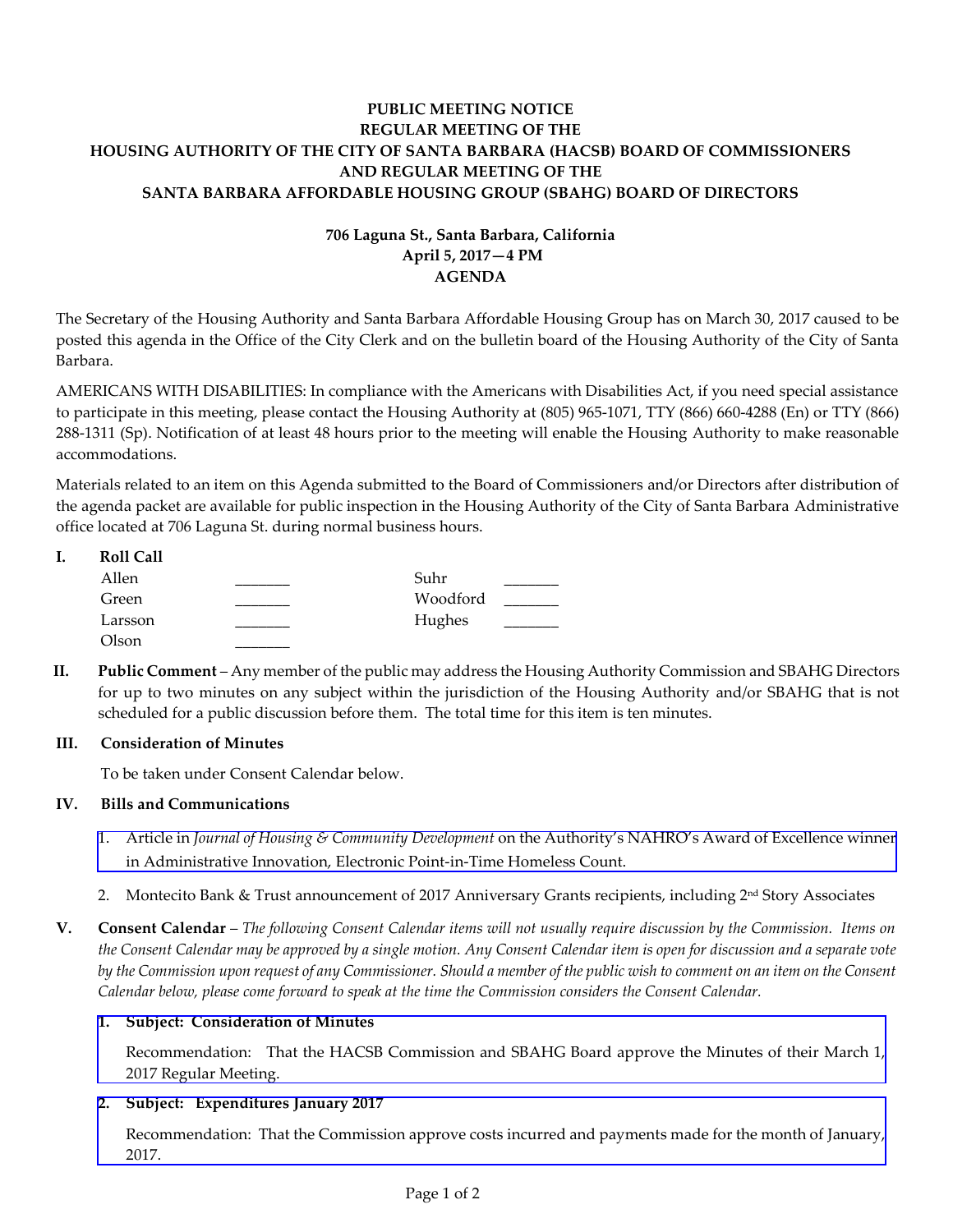# **PUBLIC MEETING NOTICE REGULAR MEETING OF THE HOUSING AUTHORITY OF THE CITY OF SANTA BARBARA (HACSB) BOARD OF COMMISSIONERS AND REGULAR MEETING OF THE SANTA BARBARA AFFORDABLE HOUSING GROUP (SBAHG) BOARD OF DIRECTORS**

# **706 Laguna St., Santa Barbara, California April 5, 2017—4 PM AGENDA**

The Secretary of the Housing Authority and Santa Barbara Affordable Housing Group has on March 30, 2017 caused to be posted this agenda in the Office of the City Clerk and on the bulletin board of the Housing Authority of the City of Santa Barbara.

AMERICANS WITH DISABILITIES: In compliance with the Americans with Disabilities Act, if you need special assistance to participate in this meeting, please contact the Housing Authority at (805) 965-1071, TTY (866) 660-4288 (En) or TTY (866) 288-1311 (Sp). Notification of at least 48 hours prior to the meeting will enable the Housing Authority to make reasonable accommodations.

Materials related to an item on this Agenda submitted to the Board of Commissioners and/or Directors after distribution of the agenda packet are available for public inspection in the Housing Authority of the City of Santa Barbara Administrative office located at 706 Laguna St. during normal business hours.

| <b>Roll Call</b> |          |  |
|------------------|----------|--|
| Allen            | Suhr     |  |
| Green            | Woodford |  |
| Larsson          | Hughes   |  |
| Olson            |          |  |

**II. Public Comment** – Any member of the public may address the Housing Authority Commission and SBAHG Directors for up to two minutes on any subject within the jurisdiction of the Housing Authority and/or SBAHG that is not scheduled for a public discussion before them. The total time for this item is ten minutes.

# **III. Consideration of Minutes**

To be taken under Consent Calendar below.

# **IV. Bills and Communications**

- 1. Article in *Journal of Housing & Community Development* on the Authority's NAHRO's Award of Excellence winner [in Administrative Innovation, Electronic Point-in-Time Homeless Count.](http://hacsb.org/download/meetings_2017/items/04_april/item_IV_I_2017_04_05.pdf)
- 2. Montecito Bank & Trust announcement of 2017 Anniversary Grants recipients, including 2nd Story Associates
- **V. Consent Calendar** *The following Consent Calendar items will not usually require discussion by the Commission. Items on the Consent Calendar may be approved by a single motion. Any Consent Calendar item is open for discussion and a separate vote by the Commission upon request of any Commissioner. Should a member of the public wish to comment on an item on the Consent Calendar below, please come forward to speak at the time the Commission considers the Consent Calendar.*

# **1. Subject: Consideration of Minutes**

[Recommendation: That the HACSB Commission and SBAHG Board approve the Minutes of their March 1,](http://hacsb.org/download/meetings_2017/items/04_april/item_V_I_2017_04_05.pdf)  2017 Regular Meeting.

# **2. Subject: Expenditures January 2017**

[Recommendation: That the Commission approve costs incurred and payments made for the month of January,](http://hacsb.org/download/meetings_2017/items/04_april/item_V_II_2017_04_05.pdf)  2017.